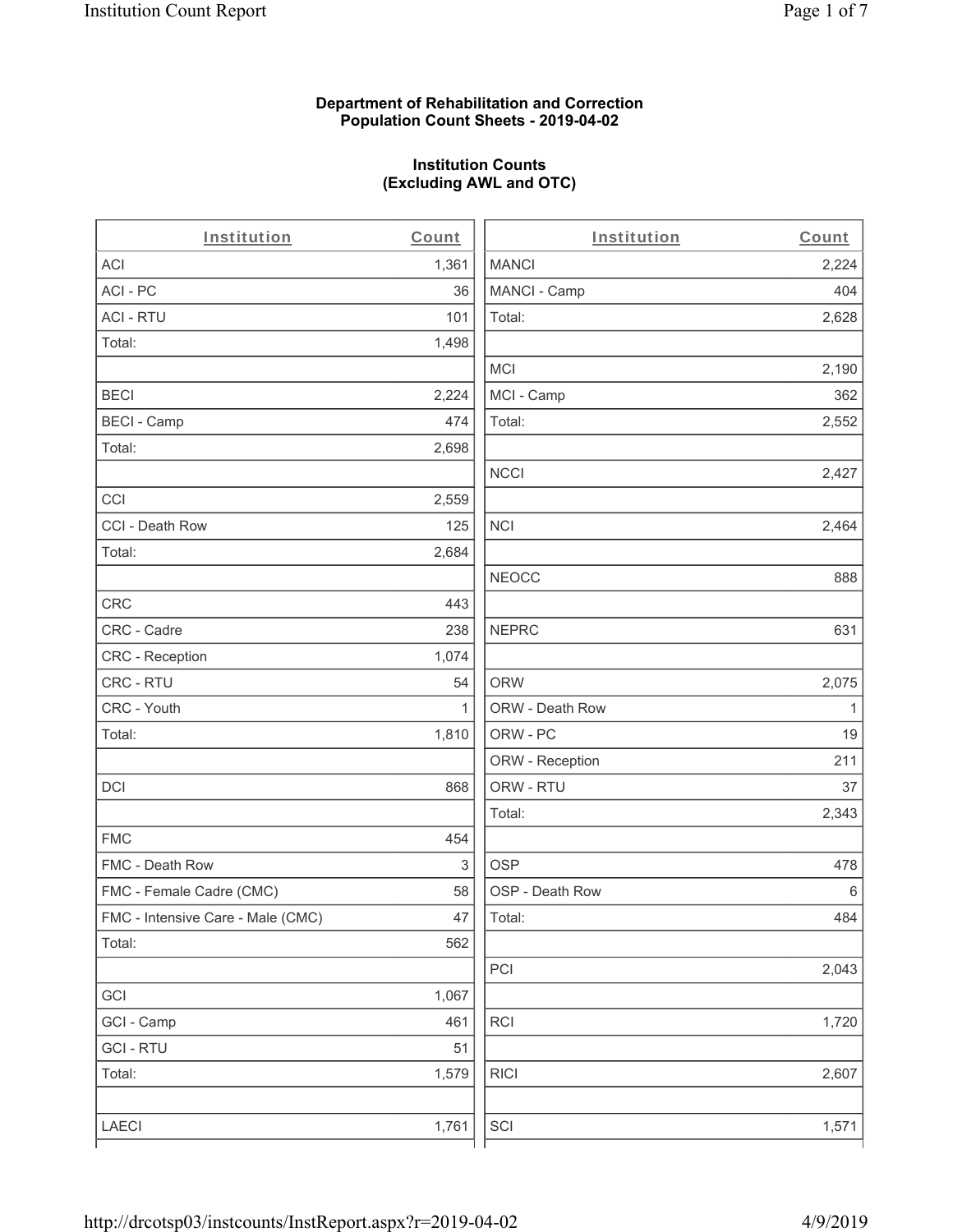### **Department of Rehabilitation and Correction Population Count Sheets - 2019-04-02**

# **Institution Counts (Excluding AWL and OTC)**

. .

| Institution                       | Count        | Institution     | Count        |
|-----------------------------------|--------------|-----------------|--------------|
| ACI                               | 1,361        | <b>MANCI</b>    | 2,224        |
| ACI-PC                            | 36           | MANCI - Camp    | 404          |
| <b>ACI - RTU</b>                  | 101          | Total:          | 2,628        |
| Total:                            | 1,498        |                 |              |
|                                   |              | <b>MCI</b>      | 2,190        |
| <b>BECI</b>                       | 2,224        | MCI - Camp      | 362          |
| <b>BECI - Camp</b>                | 474          | Total:          | 2,552        |
| Total:                            | 2,698        |                 |              |
|                                   |              | <b>NCCI</b>     | 2,427        |
| CCI                               | 2,559        |                 |              |
| CCI - Death Row                   | 125          | $\sf NCI$       | 2,464        |
| Total:                            | 2,684        |                 |              |
|                                   |              | <b>NEOCC</b>    | 888          |
| <b>CRC</b>                        | 443          |                 |              |
| CRC - Cadre                       | 238          | <b>NEPRC</b>    | 631          |
| CRC - Reception                   | 1,074        |                 |              |
| CRC - RTU                         | 54           | <b>ORW</b>      | 2,075        |
| CRC - Youth                       | $\mathbf{1}$ | ORW - Death Row | $\mathbf{1}$ |
| Total:                            | 1,810        | ORW - PC        | 19           |
|                                   |              | ORW - Reception | 211          |
| DCI                               | 868          | ORW - RTU       | 37           |
|                                   |              | Total:          | 2,343        |
| <b>FMC</b>                        | 454          |                 |              |
| FMC - Death Row                   | 3            | <b>OSP</b>      | 478          |
| FMC - Female Cadre (CMC)          | 58           | OSP - Death Row | 6            |
| FMC - Intensive Care - Male (CMC) | 47           | Total:          | 484          |
| Total:                            | 562          |                 |              |
|                                   |              | PCI             | 2,043        |
| GCI                               | 1,067        |                 |              |
| GCI - Camp                        | 461          | RCI             | 1,720        |
| <b>GCI-RTU</b>                    | 51           |                 |              |
| Total:                            | 1,579        | <b>RICI</b>     | 2,607        |
|                                   |              |                 |              |
| LAECI                             | 1,761        | SCI             | 1,571        |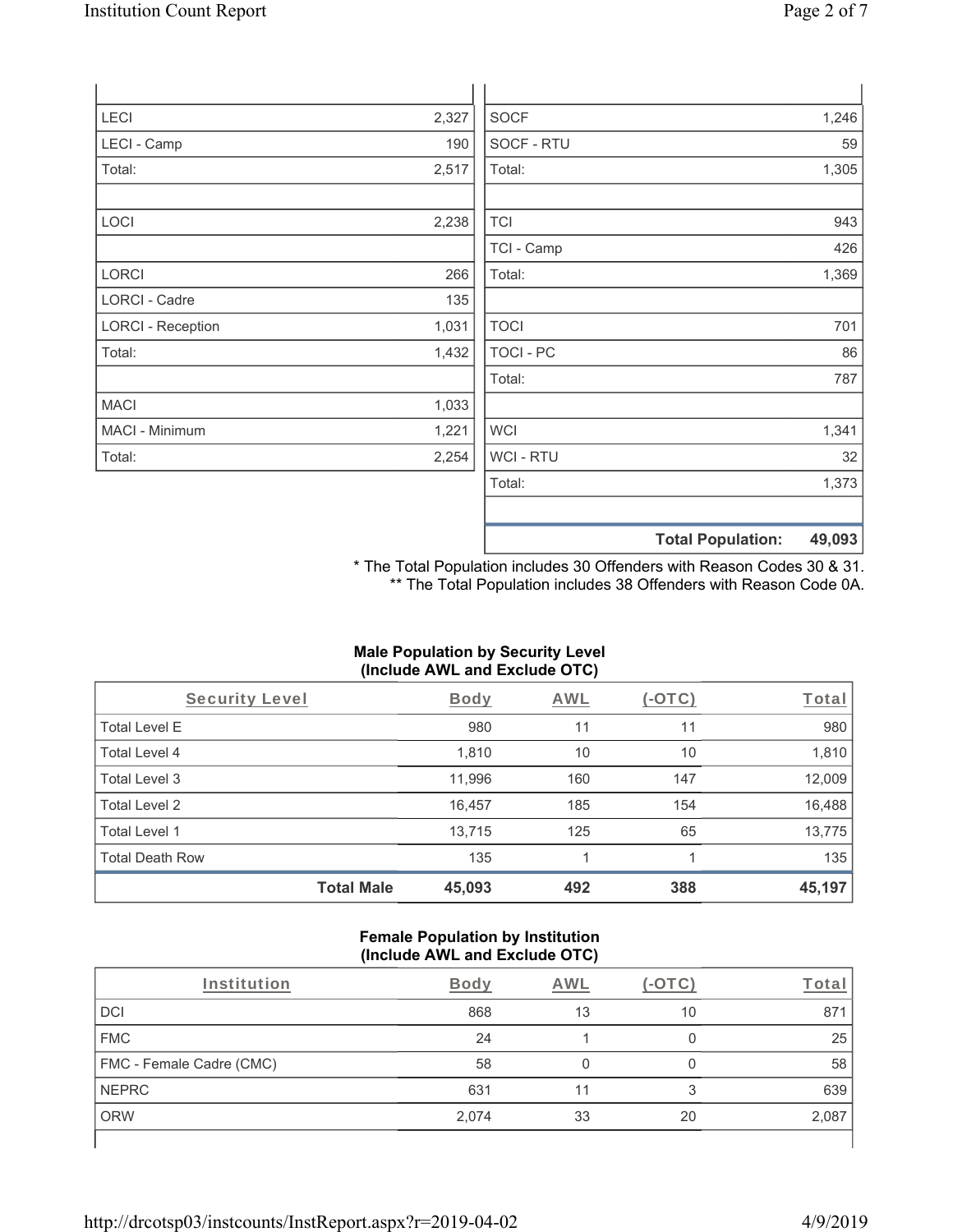| LECI                     | 2,327 | <b>SOCF</b>      |                          | 1,246  |
|--------------------------|-------|------------------|--------------------------|--------|
| LECI - Camp              | 190   | SOCF - RTU       |                          | 59     |
| Total:                   | 2,517 | Total:           |                          | 1,305  |
| LOCI                     | 2,238 | <b>TCI</b>       |                          | 943    |
|                          |       | TCI - Camp       |                          | 426    |
| LORCI                    | 266   | Total:           |                          | 1,369  |
| LORCI - Cadre            | 135   |                  |                          |        |
| <b>LORCI - Reception</b> | 1,031 | <b>TOCI</b>      |                          | 701    |
| Total:                   | 1,432 | <b>TOCI - PC</b> |                          | 86     |
|                          |       | Total:           |                          | 787    |
| <b>MACI</b>              | 1,033 |                  |                          |        |
| MACI - Minimum           | 1,221 | <b>WCI</b>       |                          | 1,341  |
| Total:                   | 2,254 | <b>WCI-RTU</b>   |                          | 32     |
|                          |       | Total:           |                          | 1,373  |
|                          |       |                  |                          |        |
|                          |       |                  | <b>Total Population:</b> | 49,093 |

\* The Total Population includes 30 Offenders with Reason Codes 30 & 31. \*\* The Total Population includes 38 Offenders with Reason Code 0A.

### **Male Population by Security Level (Include AWL and Exclude OTC)**

| Security Level         |                   | <b>Body</b> | <b>AWL</b> | $(-\text{OTC})$ | Total  |
|------------------------|-------------------|-------------|------------|-----------------|--------|
| <b>Total Level E</b>   |                   | 980         | 11         | 11              | 980    |
| Total Level 4          |                   | 1,810       | 10         | 10              | 1,810  |
| Total Level 3          |                   | 11,996      | 160        | 147             | 12,009 |
| Total Level 2          |                   | 16,457      | 185        | 154             | 16,488 |
| Total Level 1          |                   | 13,715      | 125        | 65              | 13,775 |
| <b>Total Death Row</b> |                   | 135         |            |                 | 135    |
|                        | <b>Total Male</b> | 45,093      | 492        | 388             | 45,197 |

#### **Female Population by Institution (Include AWL and Exclude OTC)**

| Institution              | <b>Body</b> | AWL |    | T <u>ota</u> r |
|--------------------------|-------------|-----|----|----------------|
| DCI                      | 868         | 13  | 10 | 871            |
| <b>FMC</b>               | 24          |     |    | 25             |
| FMC - Female Cadre (CMC) | 58          |     | O  | 58             |
| <b>NEPRC</b>             | 631         |     | 3  | 639            |
| <b>ORW</b>               | 2,074       | 33  | 20 | 2,087          |
|                          |             |     |    |                |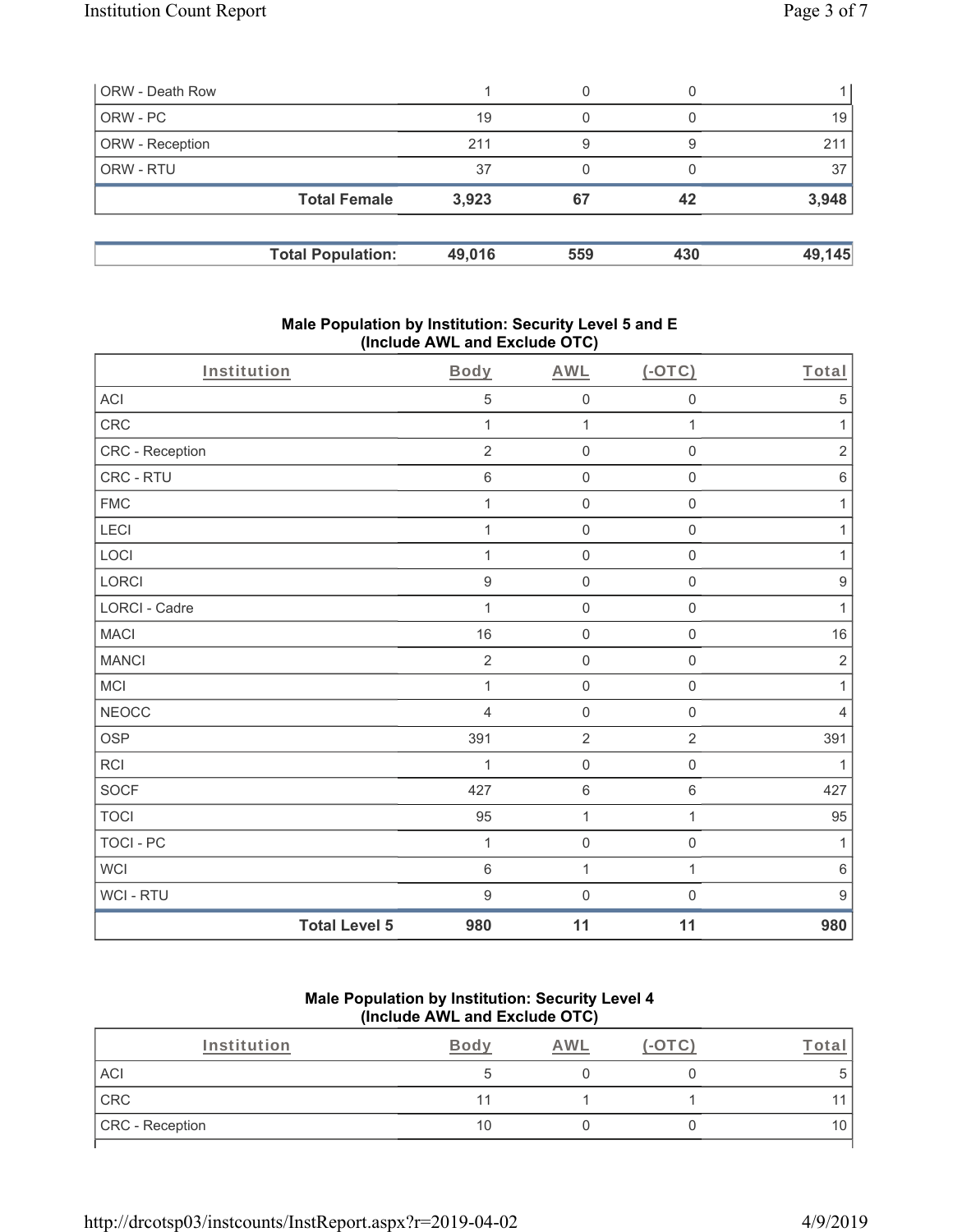|       | 0                                               | $\left( \right)$ |        |
|-------|-------------------------------------------------|------------------|--------|
| 19    | 0                                               |                  | 19     |
| 211   | 9                                               | 9                | 211    |
| 37    | 0                                               |                  | 37     |
| 3,923 | 67                                              | 42               | 3,948  |
|       |                                                 | 430              | 49,145 |
|       | <b>Total Female</b><br><b>Total Population:</b> | 49,016           | 559    |

### **Male Population by Institution: Security Level 5 and E (Include AWL and Exclude OTC)**

|                 | <b>Total Level 5</b> | 980              | 11               | 11                  | 980              |
|-----------------|----------------------|------------------|------------------|---------------------|------------------|
| WCI - RTU       |                      | $\boldsymbol{9}$ | $\boldsymbol{0}$ | $\mathbf 0$         | $\boldsymbol{9}$ |
| <b>WCI</b>      |                      | $\,6\,$          | $\mathbf{1}$     | 1                   | $\,6\,$          |
| TOCI - PC       |                      | $\mathbf{1}$     | $\boldsymbol{0}$ | $\mathbf 0$         | 1                |
| <b>TOCI</b>     |                      | 95               | $\mathbf{1}$     | 1                   | 95               |
| SOCF            |                      | 427              | $6\,$            | $\,6\,$             | 427              |
| RCI             |                      | 1                | $\mathbf 0$      | $\mathbf 0$         | 1                |
| <b>OSP</b>      |                      | 391              | $\sqrt{2}$       | $\sqrt{2}$          | 391              |
| <b>NEOCC</b>    |                      | $\overline{4}$   | $\mathbf 0$      | $\mathbf 0$         | $\overline{4}$   |
| MCI             |                      | $\mathbf{1}$     | $\mathbf 0$      | $\mathbf 0$         | $\mathbf{1}$     |
| <b>MANCI</b>    |                      | $\overline{2}$   | $\mathbf 0$      | $\mathsf{O}\xspace$ | $\sqrt{2}$       |
| <b>MACI</b>     |                      | 16               | $\mathbf 0$      | $\mathbf 0$         | $16$             |
| LORCI - Cadre   |                      | $\mathbf{1}$     | $\mathbf 0$      | $\mathbf 0$         | $\mathbf{1}$     |
| LORCI           |                      | $\boldsymbol{9}$ | $\mathbf 0$      | $\mathsf{O}\xspace$ | $\boldsymbol{9}$ |
| LOCI            |                      | $\mathbf{1}$     | $\mathbf 0$      | $\mathsf 0$         | 1                |
| LECI            |                      | 1                | $\mathbf 0$      | $\mathsf{O}\xspace$ | $\mathbf{1}$     |
| <b>FMC</b>      |                      | 1                | $\mathbf 0$      | $\mathsf{O}\xspace$ | 1                |
| CRC - RTU       |                      | $\,6\,$          | $\mathbf 0$      | $\mathsf{O}\xspace$ | $\,6\,$          |
| CRC - Reception |                      | $\overline{2}$   | $\mathbf 0$      | $\mathsf 0$         | $\sqrt{2}$       |
| CRC             |                      | 1                | 1                | 1                   | 1                |
| ACI             |                      | $\,$ 5 $\,$      | $\mathbf 0$      | $\mathsf{O}\xspace$ | $\mathbf 5$      |
| Institution     |                      | <b>Body</b>      | <b>AWL</b>       | $(-OTC)$            | Total            |

### **Male Population by Institution: Security Level 4 (Include AWL and Exclude OTC)**

| Institution     | Bod <sup>.</sup> | <b>AWI</b> |  |
|-----------------|------------------|------------|--|
| <b>ACI</b>      |                  |            |  |
| CRC             |                  |            |  |
| CRC - Reception | 10               |            |  |
|                 |                  |            |  |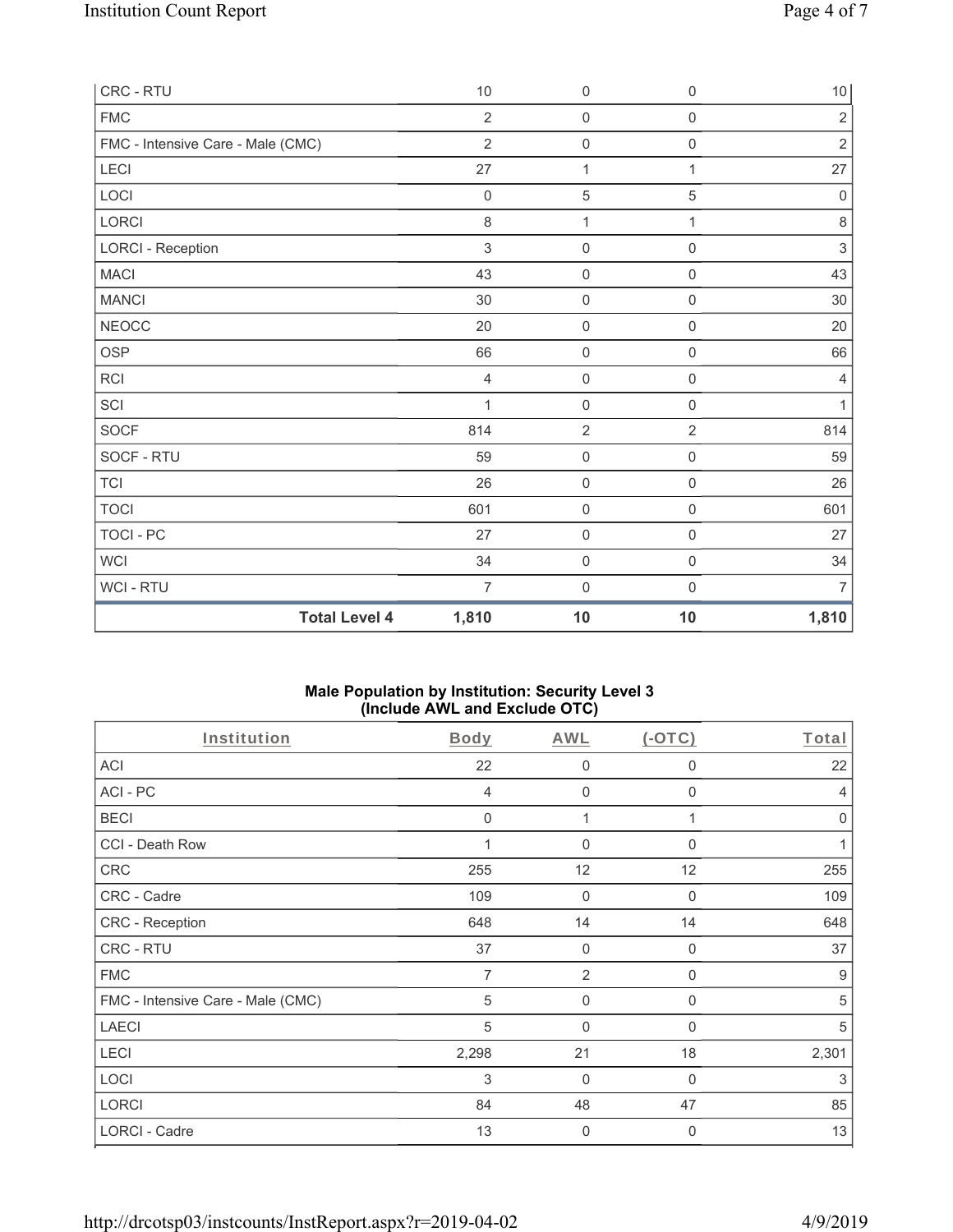| <b>Total Level 4</b>              | 1,810          | 10               | 10                  | 1,810                     |
|-----------------------------------|----------------|------------------|---------------------|---------------------------|
| <b>WCI-RTU</b>                    | $\overline{7}$ | $\boldsymbol{0}$ | $\mathsf{O}\xspace$ | $\overline{7}$            |
| <b>WCI</b>                        | 34             | $\mathbf 0$      | $\mathsf{O}\xspace$ | 34                        |
| <b>TOCI - PC</b>                  | 27             | $\mathbf 0$      | $\mathsf{O}\xspace$ | 27                        |
| <b>TOCI</b>                       | 601            | $\mathbf 0$      | $\mathbf 0$         | 601                       |
| <b>TCI</b>                        | 26             | $\mathbf 0$      | $\mathbf 0$         | 26                        |
| SOCF - RTU                        | 59             | $\mathbf 0$      | $\boldsymbol{0}$    | 59                        |
| <b>SOCF</b>                       | 814            | $\overline{2}$   | $\overline{2}$      | 814                       |
| SCI                               | $\mathbf{1}$   | $\mathbf 0$      | $\mathsf{O}\xspace$ | $\mathbf{1}$              |
| <b>RCI</b>                        | $\overline{4}$ | $\mathbf 0$      | $\mathsf{O}\xspace$ | $\overline{4}$            |
| <b>OSP</b>                        | 66             | $\mathbf 0$      | $\mathsf{O}\xspace$ | 66                        |
| <b>NEOCC</b>                      | 20             | 0                | $\mathbf 0$         | 20                        |
| <b>MANCI</b>                      | 30             | $\mathbf 0$      | $\mathbf 0$         | $30\,$                    |
| <b>MACI</b>                       | 43             | $\mathbf 0$      | $\mathsf 0$         | 43                        |
| <b>LORCI - Reception</b>          | 3              | $\mathbf 0$      | $\mathbf 0$         | $\ensuremath{\mathsf{3}}$ |
| LORCI                             | $\,8\,$        | $\mathbf{1}$     | $\mathbf{1}$        | $\,8\,$                   |
| LOCI                              | $\mathbf 0$    | $\mathbf 5$      | 5                   | $\mathbf 0$               |
| LECI                              | 27             | $\mathbf{1}$     | $\mathbf{1}$        | 27                        |
| FMC - Intensive Care - Male (CMC) | $\overline{2}$ | $\mathbf 0$      | $\mathsf{O}\xspace$ | $\sqrt{2}$                |
| <b>FMC</b>                        | $\overline{2}$ | $\mathbf 0$      | $\mathbf 0$         | $\overline{2}$            |
| CRC - RTU                         | 10             | $\mathbf 0$      | $\boldsymbol{0}$    | 10                        |

### **Male Population by Institution: Security Level 3 (Include AWL and Exclude OTC)**

| Institution                       | <b>Body</b>    | <b>AWL</b>     | $($ -OTC $)$ | Total          |
|-----------------------------------|----------------|----------------|--------------|----------------|
| <b>ACI</b>                        | 22             | $\mathbf 0$    | $\mathbf 0$  | 22             |
| ACI-PC                            | $\overline{4}$ | $\mathbf{0}$   | $\Omega$     | $\overline{4}$ |
| <b>BECI</b>                       | $\mathbf 0$    | 1              |              | $\mathbf 0$    |
| CCI - Death Row                   |                | $\mathbf 0$    | $\mathbf{0}$ |                |
| CRC                               | 255            | 12             | 12           | 255            |
| CRC - Cadre                       | 109            | $\mathbf 0$    | $\mathbf{0}$ | 109            |
| CRC - Reception                   | 648            | 14             | 14           | 648            |
| CRC - RTU                         | 37             | $\mathbf 0$    | $\mathbf 0$  | 37             |
| <b>FMC</b>                        | 7              | $\overline{2}$ | 0            | 9              |
| FMC - Intensive Care - Male (CMC) | 5              | $\mathbf 0$    | 0            | 5              |
| <b>LAECI</b>                      | 5              | $\mathbf{0}$   | $\mathbf{0}$ | 5              |
| LECI                              | 2,298          | 21             | 18           | 2,301          |
| <b>LOCI</b>                       | 3              | $\mathbf 0$    | 0            | 3              |
| LORCI                             | 84             | 48             | 47           | 85             |
| LORCI - Cadre                     | 13             | $\mathbf 0$    | $\mathbf{0}$ | 13             |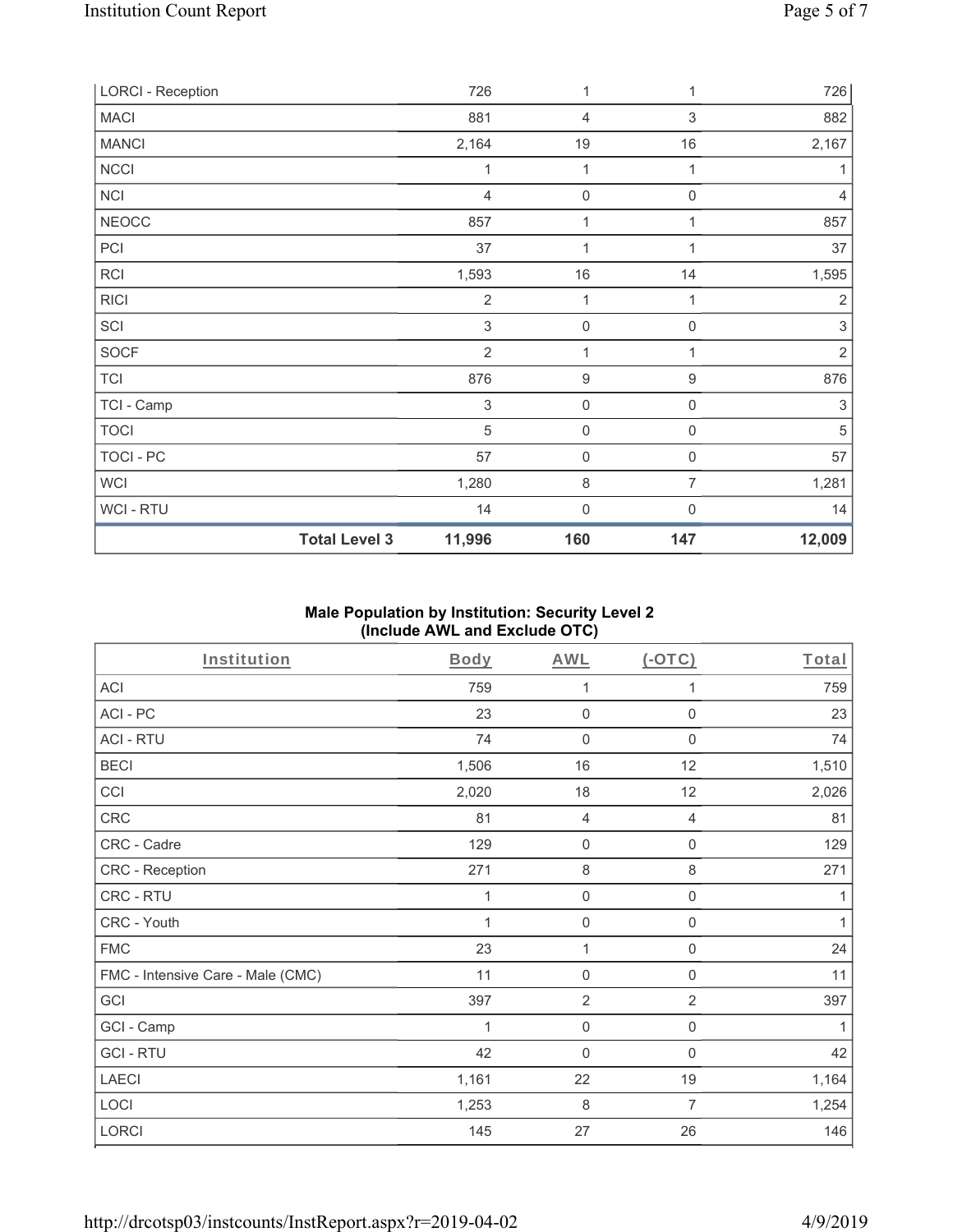| <b>LORCI - Reception</b> |                      | 726                       | 1                   | 1                | 726            |
|--------------------------|----------------------|---------------------------|---------------------|------------------|----------------|
| <b>MACI</b>              |                      | 881                       | 4                   | 3                | 882            |
| <b>MANCI</b>             |                      | 2,164                     | 19                  | $16$             | 2,167          |
| <b>NCCI</b>              |                      | 1                         | 1                   | 1                | 1              |
| <b>NCI</b>               |                      | $\overline{4}$            | $\boldsymbol{0}$    | $\mathbf 0$      | 4              |
| <b>NEOCC</b>             |                      | 857                       | 1                   | 1                | 857            |
| PCI                      |                      | 37                        | 1                   | 1                | 37             |
| <b>RCI</b>               |                      | 1,593                     | $16$                | 14               | 1,595          |
| <b>RICI</b>              |                      | $\overline{2}$            | 1                   | 1                | $\overline{2}$ |
| SCI                      |                      | 3                         | $\mathbf 0$         | 0                | $\,$ 3 $\,$    |
| <b>SOCF</b>              |                      | $\overline{2}$            | $\mathbf{1}$        | 1                | $\sqrt{2}$     |
| <b>TCI</b>               |                      | 876                       | $\boldsymbol{9}$    | $\boldsymbol{9}$ | 876            |
| TCI - Camp               |                      | $\ensuremath{\mathsf{3}}$ | $\mathbf 0$         | 0                | 3              |
| <b>TOCI</b>              |                      | 5                         | $\mathsf{O}\xspace$ | $\boldsymbol{0}$ | 5              |
| TOCI - PC                |                      | 57                        | $\mathbf 0$         | 0                | 57             |
| <b>WCI</b>               |                      | 1,280                     | 8                   | 7                | 1,281          |
| WCI-RTU                  |                      | 14                        | $\boldsymbol{0}$    | 0                | 14             |
|                          | <b>Total Level 3</b> | 11,996                    | 160                 | 147              | 12,009         |

# **Male Population by Institution: Security Level 2 (Include AWL and Exclude OTC)**

| <b>Institution</b>                | <b>Body</b> | <b>AWL</b>          | (OTC)               | Total |
|-----------------------------------|-------------|---------------------|---------------------|-------|
| <b>ACI</b>                        | 759         | 1                   | 1                   | 759   |
| ACI-PC                            | 23          | $\boldsymbol{0}$    | $\mathbf 0$         | 23    |
| <b>ACI - RTU</b>                  | 74          | $\boldsymbol{0}$    | $\mathbf 0$         | 74    |
| <b>BECI</b>                       | 1,506       | 16                  | 12                  | 1,510 |
| CCI                               | 2,020       | 18                  | 12                  | 2,026 |
| CRC                               | 81          | 4                   | 4                   | 81    |
| CRC - Cadre                       | 129         | $\mathsf{O}\xspace$ | $\mathbf 0$         | 129   |
| CRC - Reception                   | 271         | $\,8\,$             | $\,8\,$             | 271   |
| CRC - RTU                         | 1           | $\mathsf{O}\xspace$ | $\mathsf{O}\xspace$ | 1     |
| CRC - Youth                       | 1           | $\mathbf 0$         | $\mathsf{O}\xspace$ | 1     |
| <b>FMC</b>                        | 23          | 1                   | $\boldsymbol{0}$    | 24    |
| FMC - Intensive Care - Male (CMC) | 11          | $\boldsymbol{0}$    | $\boldsymbol{0}$    | 11    |
| GCI                               | 397         | $\overline{2}$      | $\overline{2}$      | 397   |
| GCI - Camp                        |             | $\mathbf 0$         | $\boldsymbol{0}$    | 1     |
| <b>GCI-RTU</b>                    | 42          | $\mathbf 0$         | 0                   | 42    |
| <b>LAECI</b>                      | 1,161       | 22                  | 19                  | 1,164 |
| LOCI                              | 1,253       | 8                   | 7                   | 1,254 |
| LORCI                             | 145         | 27                  | 26                  | 146   |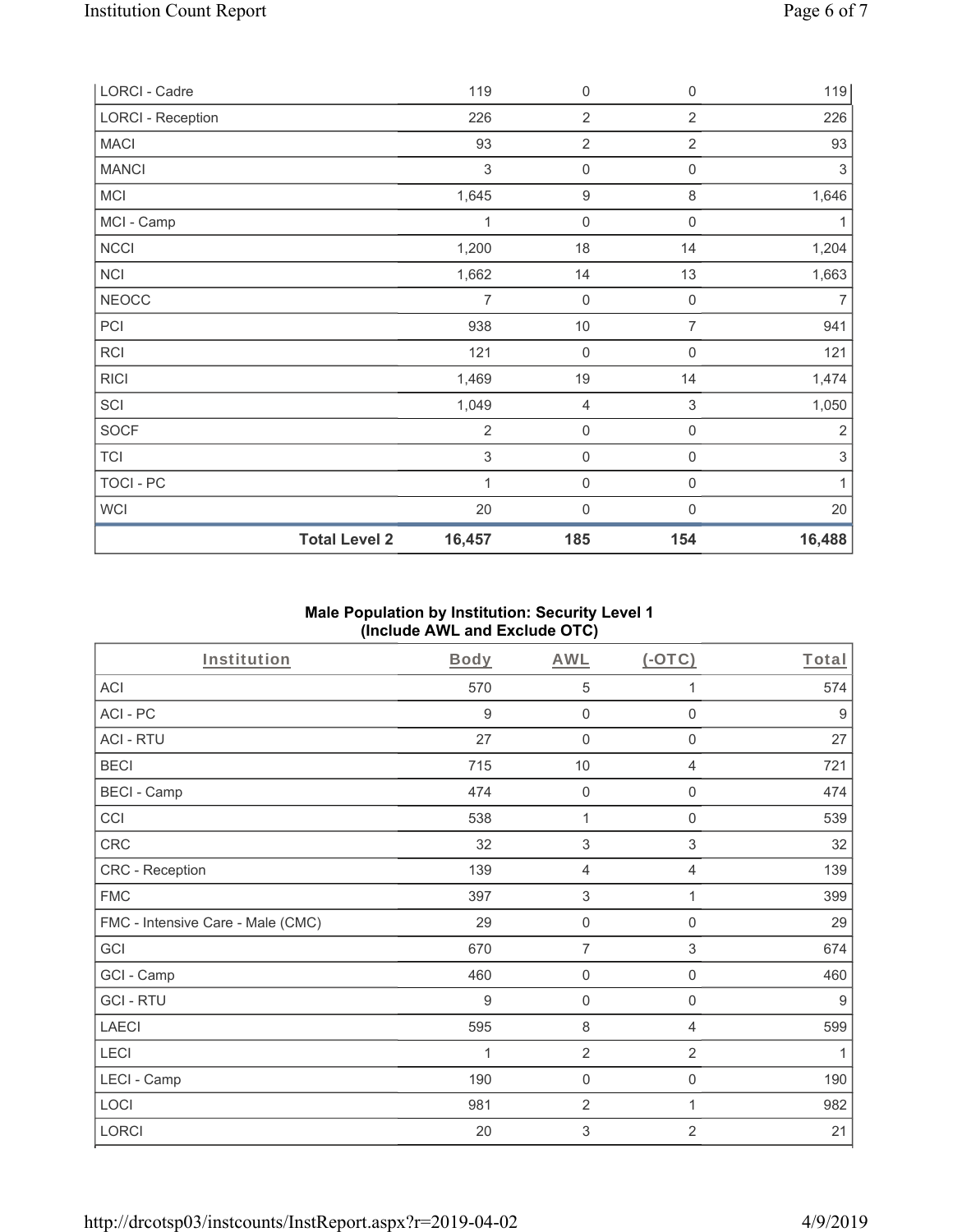| <b>Total Level 2</b>     | 16,457                    | 185                 | 154                 | 16,488         |
|--------------------------|---------------------------|---------------------|---------------------|----------------|
| WCI                      | 20                        | $\boldsymbol{0}$    | $\boldsymbol{0}$    | 20             |
| TOCI - PC                | 1                         | $\mathsf{O}\xspace$ | 0                   | $\mathbf{1}$   |
| <b>TCI</b>               | 3                         | $\mathsf{O}\xspace$ | 0                   | 3              |
| <b>SOCF</b>              | $\overline{2}$            | $\boldsymbol{0}$    | $\mathsf{O}\xspace$ | $\sqrt{2}$     |
| SCI                      | 1,049                     | 4                   | $\,$ 3 $\,$         | 1,050          |
| <b>RICI</b>              | 1,469                     | 19                  | 14                  | 1,474          |
| RCI                      | 121                       | $\mathsf{O}\xspace$ | $\boldsymbol{0}$    | 121            |
| PCI                      | 938                       | $10$                | $\overline{7}$      | 941            |
| <b>NEOCC</b>             | 7                         | $\mathbf 0$         | $\mathbf 0$         | $\overline{7}$ |
| <b>NCI</b>               | 1,662                     | 14                  | 13                  | 1,663          |
| <b>NCCI</b>              | 1,200                     | 18                  | 14                  | 1,204          |
| MCI - Camp               | 1                         | $\boldsymbol{0}$    | $\mathsf{O}\xspace$ | 1              |
| MCI                      | 1,645                     | $\boldsymbol{9}$    | 8                   | 1,646          |
| <b>MANCI</b>             | $\ensuremath{\mathsf{3}}$ | $\mathsf{O}\xspace$ | 0                   | $\sqrt{3}$     |
| <b>MACI</b>              | 93                        | $\sqrt{2}$          | $\overline{2}$      | 93             |
| <b>LORCI - Reception</b> | 226                       | $\overline{2}$      | $\overline{2}$      | 226            |
| LORCI - Cadre            | 119                       | 0                   | $\mathsf{O}\xspace$ | 119            |

# **Male Population by Institution: Security Level 1 (Include AWL and Exclude OTC)**

| <b>Institution</b>                | <b>Body</b>      | <b>AWL</b>                | $($ -OTC $)$              | Total            |
|-----------------------------------|------------------|---------------------------|---------------------------|------------------|
| ACI                               | 570              | 5                         | 1                         | 574              |
| ACI-PC                            | 9                | $\mathbf 0$               | $\mathsf{O}\xspace$       | $\boldsymbol{9}$ |
| <b>ACI - RTU</b>                  | 27               | $\mathbf 0$               | $\boldsymbol{0}$          | 27               |
| <b>BECI</b>                       | 715              | 10                        | $\overline{4}$            | 721              |
| <b>BECI - Camp</b>                | 474              | $\mathbf 0$               | 0                         | 474              |
| CCI                               | 538              | 1                         | 0                         | 539              |
| CRC                               | 32               | $\sqrt{3}$                | $\sqrt{3}$                | 32               |
| CRC - Reception                   | 139              | $\overline{4}$            | $\overline{4}$            | 139              |
| <b>FMC</b>                        | 397              | $\sqrt{3}$                | 1                         | 399              |
| FMC - Intensive Care - Male (CMC) | 29               | $\mathsf{O}\xspace$       | $\mathsf{O}\xspace$       | 29               |
| GCI                               | 670              | $\overline{7}$            | $\ensuremath{\mathsf{3}}$ | 674              |
| GCI - Camp                        | 460              | $\mathbf 0$               | $\boldsymbol{0}$          | 460              |
| <b>GCI-RTU</b>                    | $\boldsymbol{9}$ | $\mathbf 0$               | $\boldsymbol{0}$          | $9\,$            |
| <b>LAECI</b>                      | 595              | $\,8\,$                   | 4                         | 599              |
| LECI                              | 1                | $\overline{2}$            | $\overline{2}$            | 1                |
| LECI - Camp                       | 190              | $\mathbf 0$               | $\mathbf 0$               | 190              |
| LOCI                              | 981              | $\overline{2}$            | 1                         | 982              |
| LORCI                             | 20               | $\ensuremath{\mathsf{3}}$ | $\overline{2}$            | 21               |